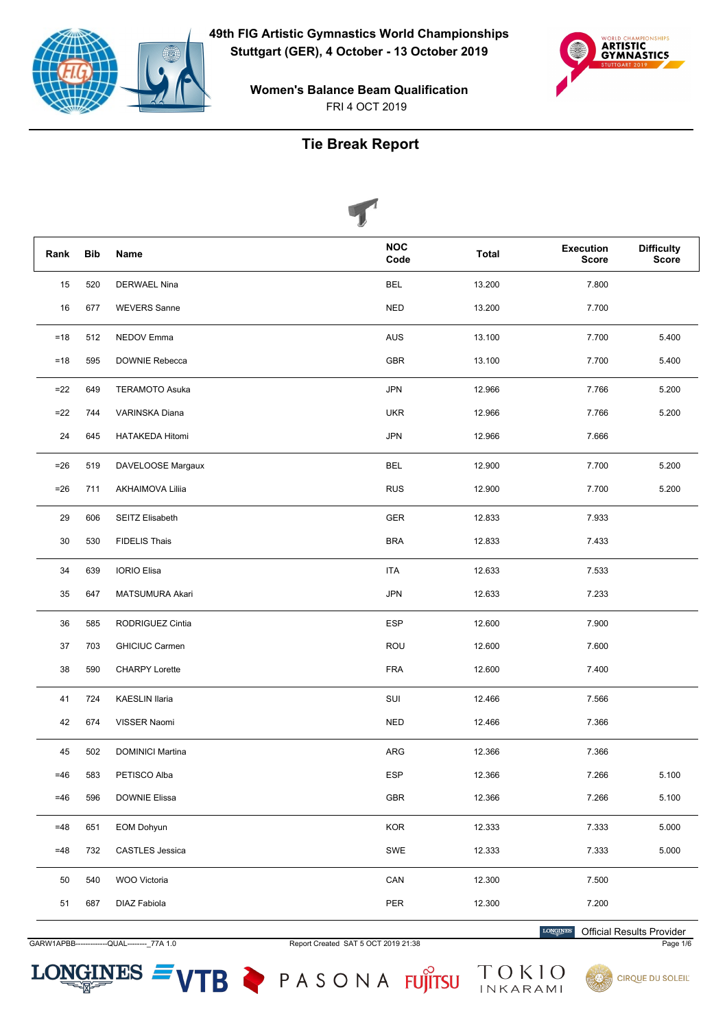



**Women's Balance Beam Qualification** FRI 4 OCT 2019

# **Tie Break Report**

|       |            | $\blacktriangleright$   |                    |              |                                  |                                   |
|-------|------------|-------------------------|--------------------|--------------|----------------------------------|-----------------------------------|
| Rank  | <b>Bib</b> | <b>Name</b>             | <b>NOC</b><br>Code | <b>Total</b> | <b>Execution</b><br><b>Score</b> | <b>Difficulty</b><br><b>Score</b> |
| 15    | 520        | DERWAEL Nina            | <b>BEL</b>         | 13.200       | 7.800                            |                                   |
| 16    | 677        | <b>WEVERS Sanne</b>     | <b>NED</b>         | 13.200       | 7.700                            |                                   |
| $=18$ | 512        | NEDOV Emma              | <b>AUS</b>         | 13.100       | 7.700                            | 5.400                             |
| $=18$ | 595        | DOWNIE Rebecca          | <b>GBR</b>         | 13.100       | 7.700                            | 5.400                             |
| $=22$ | 649        | <b>TERAMOTO Asuka</b>   | <b>JPN</b>         | 12.966       | 7.766                            | 5.200                             |
| $=22$ | 744        | VARINSKA Diana          | <b>UKR</b>         | 12.966       | 7.766                            | 5.200                             |
| 24    | 645        | HATAKEDA Hitomi         | <b>JPN</b>         | 12.966       | 7.666                            |                                   |
| $=26$ | 519        | DAVELOOSE Margaux       | <b>BEL</b>         | 12.900       | 7.700                            | 5.200                             |
| $=26$ | 711        | <b>AKHAIMOVA Lilija</b> | <b>RUS</b>         | 12.900       | 7.700                            | 5.200                             |
| 29    | 606        | SEITZ Elisabeth         | <b>GER</b>         | 12.833       | 7.933                            |                                   |
| 30    | 530        | <b>FIDELIS Thais</b>    | <b>BRA</b>         | 12.833       | 7.433                            |                                   |
| 34    | 639        | <b>IORIO Elisa</b>      | <b>ITA</b>         | 12.633       | 7.533                            |                                   |
| 35    | 647        | MATSUMURA Akari         | <b>JPN</b>         | 12.633       | 7.233                            |                                   |
| 36    | 585        | RODRIGUEZ Cintia        | <b>ESP</b>         | 12.600       | 7.900                            |                                   |
| 37    | 703        | <b>GHICIUC Carmen</b>   | ROU                | 12.600       | 7.600                            |                                   |
| 38    | 590        | <b>CHARPY Lorette</b>   | <b>FRA</b>         | 12.600       | 7.400                            |                                   |
| 41    | 724        | <b>KAESLIN Ilaria</b>   | SUI                | 12.466       | 7.566                            |                                   |
| 42    | 674        | VISSER Naomi            | <b>NED</b>         | 12.466       | 7.366                            |                                   |
| 45    | 502        | <b>DOMINICI Martina</b> | ARG                | 12.366       | 7.366                            |                                   |
| $=46$ | 583        | PETISCO Alba            | <b>ESP</b>         | 12.366       | 7.266                            | 5.100                             |
| $=46$ | 596        | DOWNIE Elissa           | ${\sf GBR}$        | 12.366       | 7.266                            | 5.100                             |
| $=48$ | 651        | EOM Dohyun              | KOR                | 12.333       | 7.333                            | 5.000                             |
| $=48$ | 732        | <b>CASTLES</b> Jessica  | SWE                | 12.333       | 7.333                            | 5.000                             |
| 50    | 540        | WOO Victoria            | CAN                | 12.300       | 7.500                            |                                   |
| 51    | 687        | DIAZ Fabiola            | PER                | 12.300       | 7.200                            |                                   |

GARW1APBB---QUAL--------\_77A 1.0

 $LONGINES =$ 

Report Created SAT 5 OCT 2019 21:38

VTB PASONA FUJITSU TOKIO

**LONGINES Official Results Provider** 

Page 1/6

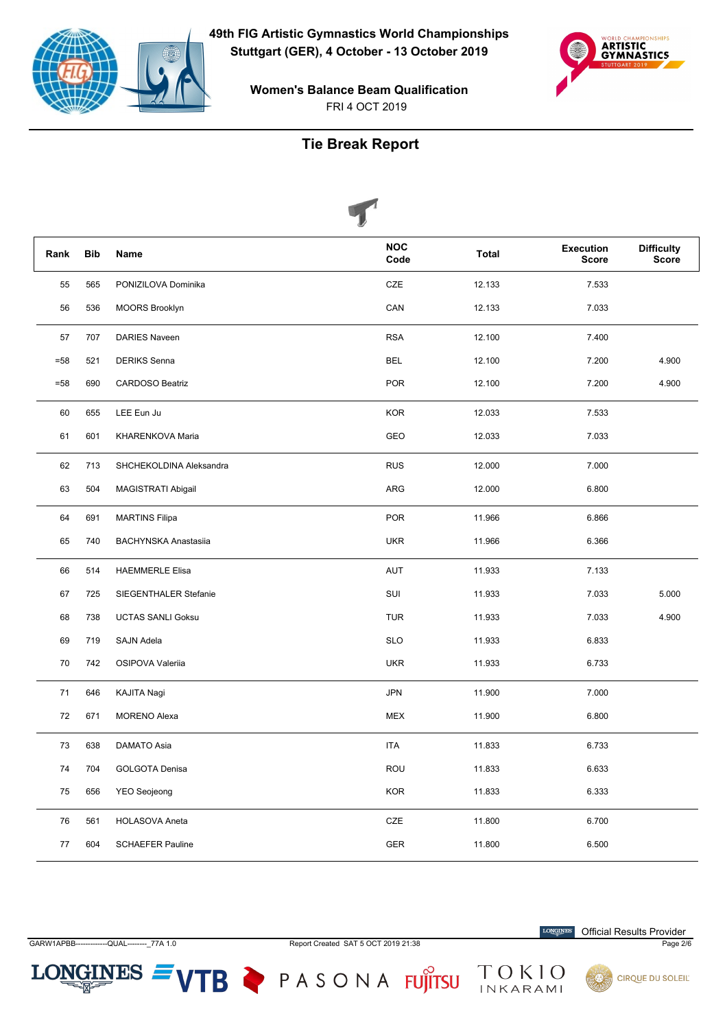



FRI 4 OCT 2019 **Women's Balance Beam Qualification**

### **Tie Break Report**

|        |            |                             | V                  |              |                                  |                                   |
|--------|------------|-----------------------------|--------------------|--------------|----------------------------------|-----------------------------------|
| Rank   | <b>Bib</b> | Name                        | <b>NOC</b><br>Code | <b>Total</b> | <b>Execution</b><br><b>Score</b> | <b>Difficulty</b><br><b>Score</b> |
| 55     | 565        | PONIZILOVA Dominika         | CZE                | 12.133       | 7.533                            |                                   |
| 56     | 536        | <b>MOORS Brooklyn</b>       | CAN                | 12.133       | 7.033                            |                                   |
| 57     | 707        | <b>DARIES Naveen</b>        | <b>RSA</b>         | 12.100       | 7.400                            |                                   |
| $= 58$ | 521        | <b>DERIKS</b> Senna         | <b>BEL</b>         | 12.100       | 7.200                            | 4.900                             |
| $= 58$ | 690        | <b>CARDOSO Beatriz</b>      | <b>POR</b>         | 12.100       | 7.200                            | 4.900                             |
| 60     | 655        | LEE Eun Ju                  | <b>KOR</b>         | 12.033       | 7.533                            |                                   |
| 61     | 601        | KHARENKOVA Maria            | GEO                | 12.033       | 7.033                            |                                   |
| 62     | 713        | SHCHEKOLDINA Aleksandra     | <b>RUS</b>         | 12.000       | 7.000                            |                                   |
| 63     | 504        | MAGISTRATI Abigail          | ARG                | 12.000       | 6.800                            |                                   |
| 64     | 691        | <b>MARTINS Filipa</b>       | <b>POR</b>         | 11.966       | 6.866                            |                                   |
| 65     | 740        | <b>BACHYNSKA Anastasiia</b> | <b>UKR</b>         | 11.966       | 6.366                            |                                   |
| 66     | 514        | <b>HAEMMERLE Elisa</b>      | <b>AUT</b>         | 11.933       | 7.133                            |                                   |
| 67     | 725        | SIEGENTHALER Stefanie       | SUI                | 11.933       | 7.033                            | 5.000                             |
| 68     | 738        | <b>UCTAS SANLI Goksu</b>    | <b>TUR</b>         | 11.933       | 7.033                            | 4.900                             |
| 69     | 719        | SAJN Adela                  | <b>SLO</b>         | 11.933       | 6.833                            |                                   |
| 70     | 742        | OSIPOVA Valeriia            | <b>UKR</b>         | 11.933       | 6.733                            |                                   |
| 71     | 646        | <b>KAJITA Nagi</b>          | <b>JPN</b>         | 11.900       | 7.000                            |                                   |
| 72     | 671        | <b>MORENO Alexa</b>         | <b>MEX</b>         | 11.900       | 6.800                            |                                   |
| 73     | 638        | DAMATO Asia                 | <b>ITA</b>         | 11.833       | 6.733                            |                                   |
| 74     | 704        | GOLGOTA Denisa              | ROU                | 11.833       | 6.633                            |                                   |
| 75     | 656        | <b>YEO Seojeong</b>         | <b>KOR</b>         | 11.833       | 6.333                            |                                   |
| 76     | 561        | <b>HOLASOVA Aneta</b>       | CZE                | 11.800       | 6.700                            |                                   |
| 77     | 604        | <b>SCHAEFER Pauline</b>     | <b>GER</b>         | 11.800       | 6.500                            |                                   |

 $LONGINES =$ 

GARW1APBB------------QUAL--------\_77A 1.0 Report Created SAT 5 OCT 2019 21:38 Page 2/6

 $\label{eq:conformal} \begin{minipage}{.4\linewidth} \textbf{LONGINES} \end{minipage}$ Official Results Provider









VTB PASONA FUJITSU TOKIO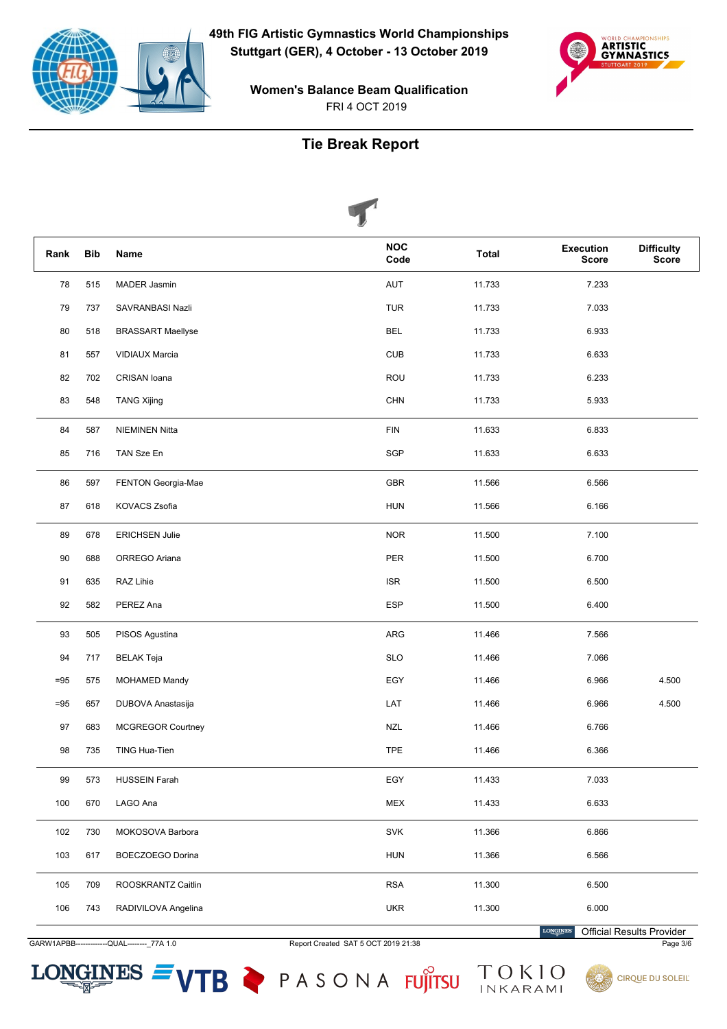



**Women's Balance Beam Qualification** FRI 4 OCT 2019

# **Tie Break Report**

|        |            | $\mathbf{v}$             |                    |              |                                  |                            |
|--------|------------|--------------------------|--------------------|--------------|----------------------------------|----------------------------|
| Rank   | <b>Bib</b> | Name                     | <b>NOC</b><br>Code | <b>Total</b> | <b>Execution</b><br><b>Score</b> | <b>Difficulty</b><br>Score |
| 78     | 515        | MADER Jasmin             | AUT                | 11.733       | 7.233                            |                            |
| 79     | 737        | SAVRANBASI Nazli         | <b>TUR</b>         | 11.733       | 7.033                            |                            |
| 80     | 518        | <b>BRASSART Maellyse</b> | <b>BEL</b>         | 11.733       | 6.933                            |                            |
| 81     | 557        | <b>VIDIAUX Marcia</b>    | <b>CUB</b>         | 11.733       | 6.633                            |                            |
| 82     | 702        | CRISAN Ioana             | <b>ROU</b>         | 11.733       | 6.233                            |                            |
| 83     | 548        | <b>TANG Xijing</b>       | <b>CHN</b>         | 11.733       | 5.933                            |                            |
| 84     | 587        | <b>NIEMINEN Nitta</b>    | <b>FIN</b>         | 11.633       | 6.833                            |                            |
| 85     | 716        | TAN Sze En               | SGP                | 11.633       | 6.633                            |                            |
| 86     | 597        | FENTON Georgia-Mae       | GBR                | 11.566       | 6.566                            |                            |
| 87     | 618        | KOVACS Zsofia            | <b>HUN</b>         | 11.566       | 6.166                            |                            |
| 89     | 678        | <b>ERICHSEN Julie</b>    | <b>NOR</b>         | 11.500       | 7.100                            |                            |
| 90     | 688        | ORREGO Ariana            | PER                | 11.500       | 6.700                            |                            |
| 91     | 635        | RAZ Lihie                | <b>ISR</b>         | 11.500       | 6.500                            |                            |
| 92     | 582        | PEREZ Ana                | <b>ESP</b>         | 11.500       | 6.400                            |                            |
| 93     | 505        | PISOS Agustina           | ARG                | 11.466       | 7.566                            |                            |
| 94     | 717        | <b>BELAK Teja</b>        | <b>SLO</b>         | 11.466       | 7.066                            |                            |
| $= 95$ | 575        | <b>MOHAMED Mandy</b>     | EGY                | 11.466       | 6.966                            | 4.500                      |
| $= 95$ | 657        | DUBOVA Anastasija        | LAT                | 11.466       | 6.966                            | 4.500                      |
| 97     | 683        | <b>MCGREGOR Courtney</b> | <b>NZL</b>         | 11.466       | 6.766                            |                            |
| 98     | 735        | TING Hua-Tien            | <b>TPE</b>         | 11.466       | 6.366                            |                            |
| 99     | 573        | <b>HUSSEIN Farah</b>     | EGY                | 11.433       | 7.033                            |                            |
| 100    | 670        | LAGO Ana                 | <b>MEX</b>         | 11.433       | 6.633                            |                            |
| 102    | 730        | MOKOSOVA Barbora         | SVK                | 11.366       | 6.866                            |                            |
| 103    | 617        | BOECZOEGO Dorina         | <b>HUN</b>         | 11.366       | 6.566                            |                            |
| 105    | 709        | ROOSKRANTZ Caitlin       | <b>RSA</b>         | 11.300       | 6.500                            |                            |
| 106    | 743        | RADIVILOVA Angelina      | <b>UKR</b>         | 11.300       | 6.000                            |                            |

GARW1APBB-----QUAL--------\_77A 1.0

 $LONGINES =$ 

Report Created SAT 5 OCT 2019 21:38





LONGINES



Official Results Provider

Page 3/6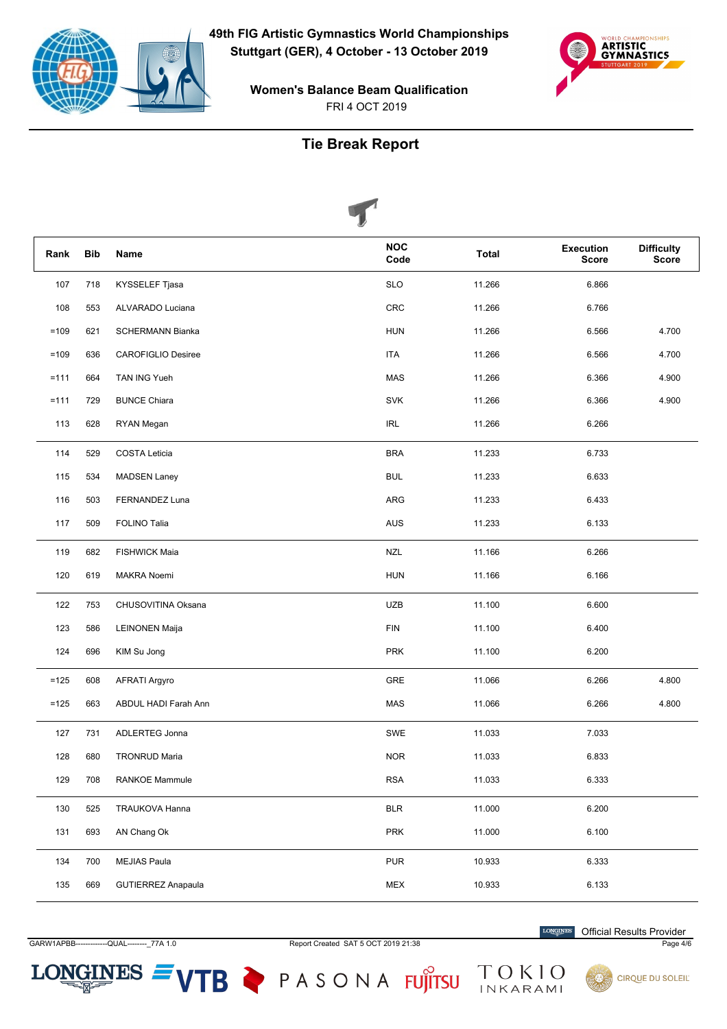



**Women's Balance Beam Qualification** FRI 4 OCT 2019

# **Tie Break Report**



| Rank   | <b>Bib</b> | Name                      | <b>NOC</b><br>Code | <b>Total</b> | <b>Execution</b><br><b>Score</b> | <b>Difficulty</b><br><b>Score</b> |
|--------|------------|---------------------------|--------------------|--------------|----------------------------------|-----------------------------------|
| 107    | 718        | KYSSELEF Tjasa            | <b>SLO</b>         | 11.266       | 6.866                            |                                   |
| 108    | 553        | ALVARADO Luciana          | <b>CRC</b>         | 11.266       | 6.766                            |                                   |
| $=109$ | 621        | <b>SCHERMANN Bianka</b>   | <b>HUN</b>         | 11.266       | 6.566                            | 4.700                             |
| $=109$ | 636        | <b>CAROFIGLIO Desiree</b> | ITA                | 11.266       | 6.566                            | 4.700                             |
| $=111$ | 664        | TAN ING Yueh              | <b>MAS</b>         | 11.266       | 6.366                            | 4.900                             |
| $=111$ | 729        | <b>BUNCE Chiara</b>       | <b>SVK</b>         | 11.266       | 6.366                            | 4.900                             |
| 113    | 628        | RYAN Megan                | <b>IRL</b>         | 11.266       | 6.266                            |                                   |
| 114    | 529        | COSTA Leticia             | <b>BRA</b>         | 11.233       | 6.733                            |                                   |
| 115    | 534        | <b>MADSEN Laney</b>       | <b>BUL</b>         | 11.233       | 6.633                            |                                   |
| 116    | 503        | FERNANDEZ Luna            | ARG                | 11.233       | 6.433                            |                                   |
| 117    | 509        | FOLINO Talia              | <b>AUS</b>         | 11.233       | 6.133                            |                                   |
| 119    | 682        | <b>FISHWICK Maia</b>      | <b>NZL</b>         | 11.166       | 6.266                            |                                   |
| 120    | 619        | MAKRA Noemi               | <b>HUN</b>         | 11.166       | 6.166                            |                                   |
| 122    | 753        | CHUSOVITINA Oksana        | <b>UZB</b>         | 11.100       | 6.600                            |                                   |
| 123    | 586        | <b>LEINONEN Maija</b>     | <b>FIN</b>         | 11.100       | 6.400                            |                                   |
| 124    | 696        | KIM Su Jong               | <b>PRK</b>         | 11.100       | 6.200                            |                                   |
| $=125$ | 608        | <b>AFRATI Argyro</b>      | GRE                | 11.066       | 6.266                            | 4.800                             |
| $=125$ | 663        | ABDUL HADI Farah Ann      | <b>MAS</b>         | 11.066       | 6.266                            | 4.800                             |
| 127    | 731        | ADLERTEG Jonna            | SWE                | 11.033       | 7.033                            |                                   |
| 128    | 680        | <b>TRONRUD Maria</b>      | <b>NOR</b>         | 11.033       | 6.833                            |                                   |
| 129    | 708        | <b>RANKOE Mammule</b>     | <b>RSA</b>         | 11.033       | 6.333                            |                                   |
| 130    | 525        | TRAUKOVA Hanna            | <b>BLR</b>         | 11.000       | 6.200                            |                                   |
| 131    | 693        | AN Chang Ok               | PRK                | 11.000       | 6.100                            |                                   |
| 134    | 700        | <b>MEJIAS Paula</b>       | <b>PUR</b>         | 10.933       | 6.333                            |                                   |
| 135    | 669        | <b>GUTIERREZ Anapaula</b> | <b>MEX</b>         | 10.933       | 6.133                            |                                   |

GARW1APBB-----QUAL---------\_77A 1.0

 $LONGINES =$ 

Report Created SAT 5 OCT 2019 21:38

 $\label{eq:conformal} \begin{minipage}{.4\linewidth} \textbf{LONGINES} \end{minipage}$ **Official Results Provider** 

Page 4/6



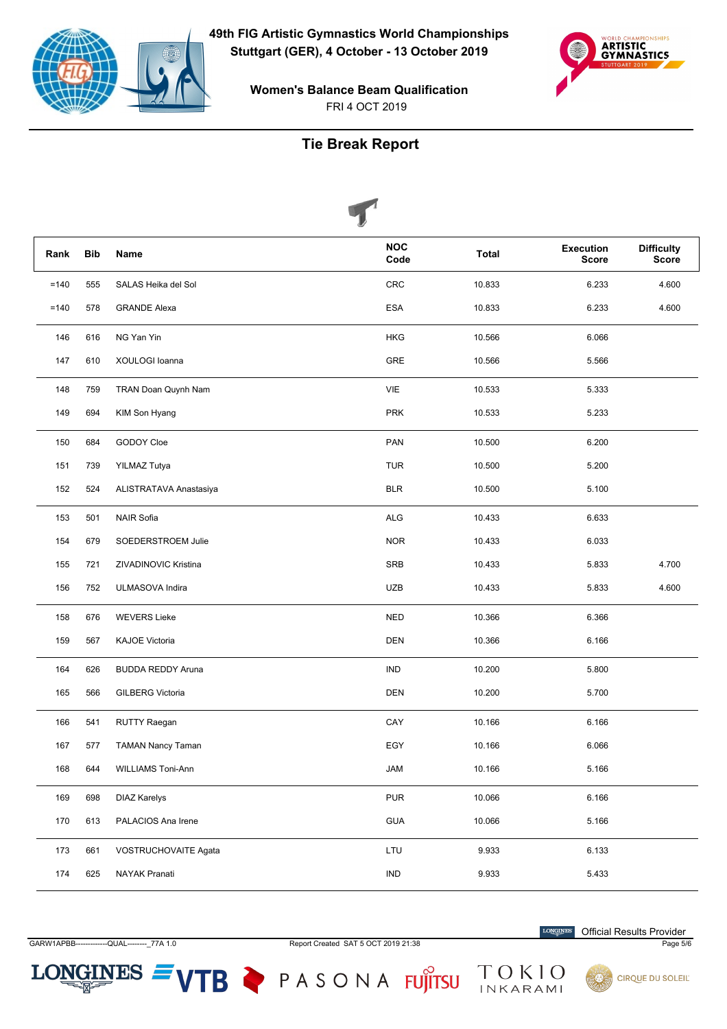



FRI 4 OCT 2019 **Women's Balance Beam Qualification**

#### **Tie Break Report**

|         |            |                          | ⋓ |                    |              |                                  |                                   |
|---------|------------|--------------------------|---|--------------------|--------------|----------------------------------|-----------------------------------|
| Rank    | <b>Bib</b> | Name                     |   | <b>NOC</b><br>Code | <b>Total</b> | <b>Execution</b><br><b>Score</b> | <b>Difficulty</b><br><b>Score</b> |
| $=140$  | 555        | SALAS Heika del Sol      |   | CRC                | 10.833       | 6.233                            | 4.600                             |
| $= 140$ | 578        | <b>GRANDE Alexa</b>      |   | <b>ESA</b>         | 10.833       | 6.233                            | 4.600                             |
| 146     | 616        | NG Yan Yin               |   | <b>HKG</b>         | 10.566       | 6.066                            |                                   |
| 147     | 610        | XOULOGI Ioanna           |   | GRE                | 10.566       | 5.566                            |                                   |
| 148     | 759        | TRAN Doan Quynh Nam      |   | VIE                | 10.533       | 5.333                            |                                   |
| 149     | 694        | KIM Son Hyang            |   | <b>PRK</b>         | 10.533       | 5.233                            |                                   |
| 150     | 684        | GODOY Cloe               |   | PAN                | 10.500       | 6.200                            |                                   |
| 151     | 739        | YILMAZ Tutya             |   | <b>TUR</b>         | 10.500       | 5.200                            |                                   |
| 152     | 524        | ALISTRATAVA Anastasiya   |   | <b>BLR</b>         | 10.500       | 5.100                            |                                   |
| 153     | 501        | <b>NAIR Sofia</b>        |   | <b>ALG</b>         | 10.433       | 6.633                            |                                   |
| 154     | 679        | SOEDERSTROEM Julie       |   | <b>NOR</b>         | 10.433       | 6.033                            |                                   |
| 155     | 721        | ZIVADINOVIC Kristina     |   | <b>SRB</b>         | 10.433       | 5.833                            | 4.700                             |
| 156     | 752        | ULMASOVA Indira          |   | <b>UZB</b>         | 10.433       | 5.833                            | 4.600                             |
| 158     | 676        | <b>WEVERS Lieke</b>      |   | <b>NED</b>         | 10.366       | 6.366                            |                                   |
| 159     | 567        | <b>KAJOE Victoria</b>    |   | <b>DEN</b>         | 10.366       | 6.166                            |                                   |
| 164     | 626        | <b>BUDDA REDDY Aruna</b> |   | <b>IND</b>         | 10.200       | 5.800                            |                                   |
| 165     | 566        | <b>GILBERG Victoria</b>  |   | <b>DEN</b>         | 10.200       | 5.700                            |                                   |
| 166     | 541        | RUTTY Raegan             |   | CAY                | 10.166       | 6.166                            |                                   |
| 167     | 577        | <b>TAMAN Nancy Taman</b> |   | EGY                | 10.166       | 6.066                            |                                   |
| 168     | 644        | WILLIAMS Toni-Ann        |   | JAM                | 10.166       | 5.166                            |                                   |
| 169     | 698        | <b>DIAZ Karelys</b>      |   | <b>PUR</b>         | 10.066       | 6.166                            |                                   |
| 170     | 613        | PALACIOS Ana Irene       |   | GUA                | 10.066       | 5.166                            |                                   |
| 173     | 661        | VOSTRUCHOVAITE Agata     |   | LTU                | 9.933        | 6.133                            |                                   |
| $174\,$ | 625        | NAYAK Pranati            |   | IND                | 9.933        | 5.433                            |                                   |

 $LONGINES =$ 

GARW1APBB------------QUAL--------\_77A 1.0 Report Created SAT 5 OCT 2019 21:38 Page 5/6

 $\label{eq:conformal} \begin{minipage}{.4\linewidth} \textbf{LONGINES} \end{minipage}$ Official Results Provider



VTB PASONA FUJITSU TOKIO